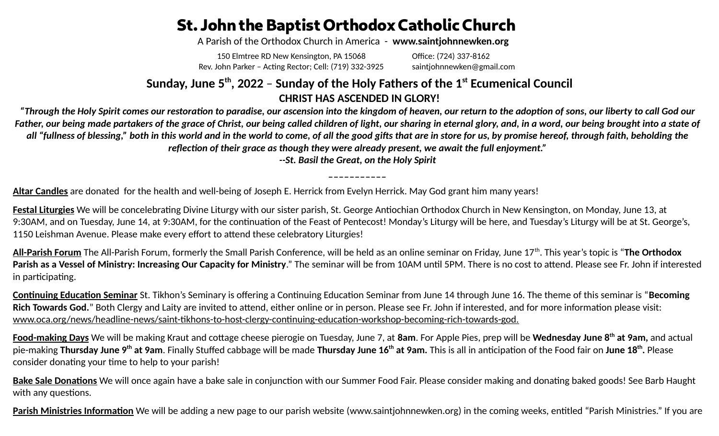## **St. John the Baptist Orthodox Catholic Church**

A Parish of the Orthodox Church in America - **www.saintjohnnewken.org**

150 Elmtree RD New Kensington, PA 15068 Rev. John Parker – Acting Rector; Cell: (719) 332-3925 Office: (724) 337-8162 saintjohnnewken@gmail.com

## **Sunday, June 5th, 2022** – **Sunday of the Holy Fathers of the 1st Ecumenical Council CHRIST HAS ASCENDED IN GLORY!**

*"Through the Holy Spirit comes our restoration to paradise, our ascension into the kingdom of heaven, our return to the adoption of sons, our liberty to call God our Father, our being made partakers of the grace of Christ, our being called children of light, our sharing in eternal glory, and, in a word, our being brought into a state of all "fullness of blessing," both in this world and in the world to come, of all the good gifts that are in store for us, by promise hereof, through faith, beholding the reflection of their grace as though they were already present, we await the full enjoyment."*

*--St. Basil the Great, on the Holy Spirit*

**Altar Candles** are donated for the health and well-being of Joseph E. Herrick from Evelyn Herrick. May God grant him many years!

**Festal Liturgies** We will be concelebrating Divine Liturgy with our sister parish, St. George Antiochian Orthodox Church in New Kensington, on Monday, June 13, at 9:30AM, and on Tuesday, June 14, at 9:30AM, for the continuation of the Feast of Pentecost! Monday's Liturgy will be here, and Tuesday's Liturgy will be at St. George's, 1150 Leishman Avenue. Please make every effort to attend these celebratory Liturgies!

**All-Parish Forum** The All-Parish Forum, formerly the Small Parish Conference, will be held as an online seminar on Friday, June 17th. This year's topic is "**The Orthodox Parish as a Vessel of Ministry: Increasing Our Capacity for Ministry**." The seminar will be from 10AM until 5PM. There is no cost to attend. Please see Fr. John if interested in participating.

**Continuing Education Seminar** St. Tikhon's Seminary is offering a Continuing Education Seminar from June 14 through June 16. The theme of this seminar is "**Becoming Rich Towards God.**" Both Clergy and Laity are invited to attend, either online or in person. Please see Fr. John if interested, and for more information please visit: www.oca.org/news/headline-news/saint-tikhons-to-host-clergy-continuing-education-workshop-becoming-rich-towards-god.

**Food-making Days** We will be making Kraut and cottage cheese pierogie on Tuesday, June 7, at **8am**. For Apple Pies, prep will be **Wednesday June 8th at 9am,** and actual pie-making **Thursday June 9<sup>th</sup> at 9am**. Finally Stuffed cabbage will be made **Thursday June 16<sup>th</sup> at 9am.** This is all in anticipation of the Food fair on **June 18<sup>th</sup>.** Please consider donating your time to help to your parish!

**Bake Sale Donations** We will once again have a bake sale in conjunction with our Summer Food Fair. Please consider making and donating baked goods! See Barb Haught with any questions.

**Parish Ministries Information** We will be adding a new page to our parish website [\(www.saintjohnnewken.org\)](http://www.saintjohnnewken.org/) in the coming weeks, entitled "Parish Ministries." If you are